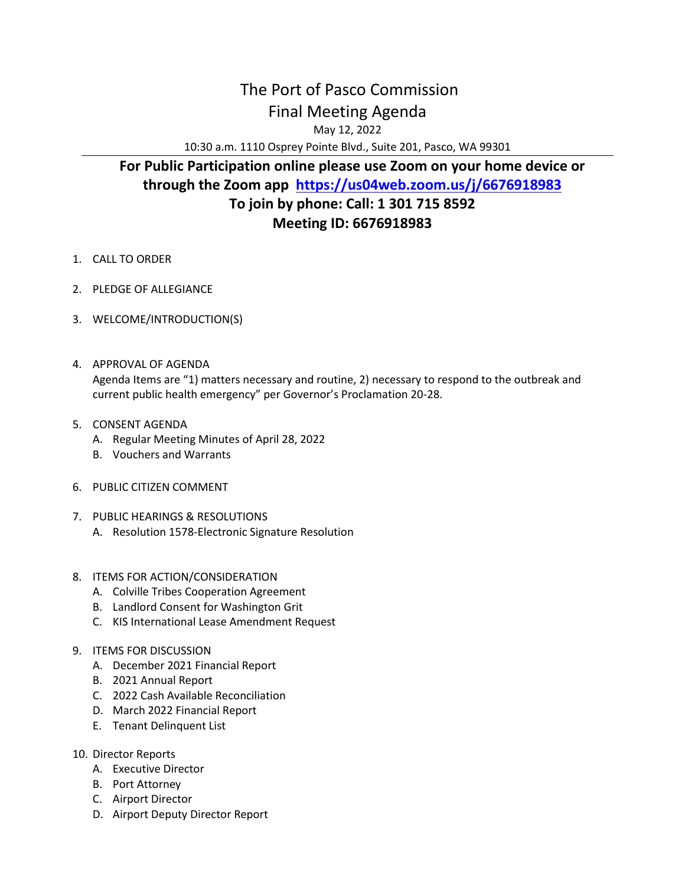## The Port of Pasco Commission Final Meeting Agenda May 12, 2022

10:30 a.m. 1110 Osprey Pointe Blvd., Suite 201, Pasco, WA 99301

## **For Public Participation online please use Zoom on your home device or through the Zoom app <https://us04web.zoom.us/j/6676918983> To join by phone: Call: 1 301 715 8592 Meeting ID: 6676918983**

- 1. CALL TO ORDER
- 2. PLEDGE OF ALLEGIANCE
- 3. WELCOME/INTRODUCTION(S)
- 4. APPROVAL OF AGENDA Agenda Items are "1) matters necessary and routine, 2) necessary to respond to the outbreak and current public health emergency" per Governor's Proclamation 20-28.
- 5. CONSENT AGENDA
	- A. Regular Meeting Minutes of April 28, 2022
	- B. Vouchers and Warrants
- 6. PUBLIC CITIZEN COMMENT
- 7. PUBLIC HEARINGS & RESOLUTIONS
	- A. Resolution 1578-Electronic Signature Resolution
- 8. ITEMS FOR ACTION/CONSIDERATION
	- A. Colville Tribes Cooperation Agreement
	- B. Landlord Consent for Washington Grit
	- C. KIS International Lease Amendment Request
- 9. ITEMS FOR DISCUSSION
	- A. December 2021 Financial Report
	- B. 2021 Annual Report
	- C. 2022 Cash Available Reconciliation
	- D. March 2022 Financial Report
	- E. Tenant Delinquent List
- 10. Director Reports
	- A. Executive Director
	- B. Port Attorney
	- C. Airport Director
	- D. Airport Deputy Director Report